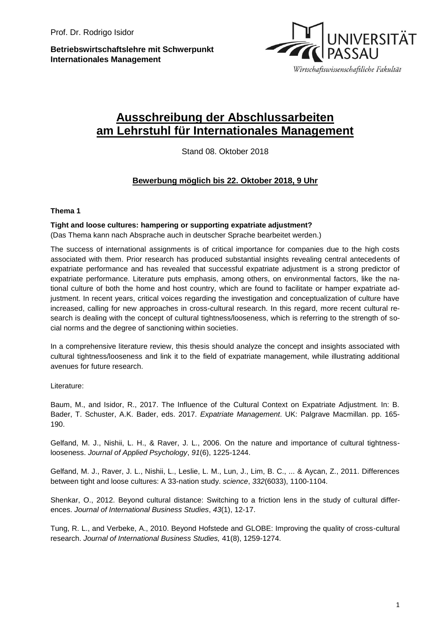**Betriebswirtschaftslehre mit Schwerpunkt Internationales Management**



# **Ausschreibung der Abschlussarbeiten am Lehrstuhl für Internationales Management**

Stand 08. Oktober 2018

## **Bewerbung möglich bis 22. Oktober 2018, 9 Uhr**

### **Thema 1**

### **Tight and loose cultures: hampering or supporting expatriate adjustment?**

(Das Thema kann nach Absprache auch in deutscher Sprache bearbeitet werden.)

The success of international assignments is of critical importance for companies due to the high costs associated with them. Prior research has produced substantial insights revealing central antecedents of expatriate performance and has revealed that successful expatriate adjustment is a strong predictor of expatriate performance. Literature puts emphasis, among others, on environmental factors, like the national culture of both the home and host country, which are found to facilitate or hamper expatriate adjustment. In recent years, critical voices regarding the investigation and conceptualization of culture have increased, calling for new approaches in cross-cultural research. In this regard, more recent cultural research is dealing with the concept of cultural tightness/looseness, which is referring to the strength of social norms and the degree of sanctioning within societies.

In a comprehensive literature review, this thesis should analyze the concept and insights associated with cultural tightness/looseness and link it to the field of expatriate management, while illustrating additional avenues for future research.

Literature:

Baum, M., and Isidor, R., 2017. The Influence of the Cultural Context on Expatriate Adjustment. In: B. Bader, T. Schuster, A.K. Bader, eds. 2017. *Expatriate Management*. UK: Palgrave Macmillan. pp. 165- 190.

Gelfand, M. J., Nishii, L. H., & Raver, J. L., 2006. On the nature and importance of cultural tightnesslooseness. *Journal of Applied Psychology*, *91*(6), 1225-1244.

Gelfand, M. J., Raver, J. L., Nishii, L., Leslie, L. M., Lun, J., Lim, B. C., ... & Aycan, Z., 2011. Differences between tight and loose cultures: A 33-nation study. *science*, *332*(6033), 1100-1104.

Shenkar, O., 2012. Beyond cultural distance: Switching to a friction lens in the study of cultural differences. *Journal of International Business Studies*, *43*(1), 12-17.

Tung, R. L., and Verbeke, A., 2010. Beyond Hofstede and GLOBE: Improving the quality of cross-cultural research. *Journal of International Business Studies,* 41(8), 1259-1274.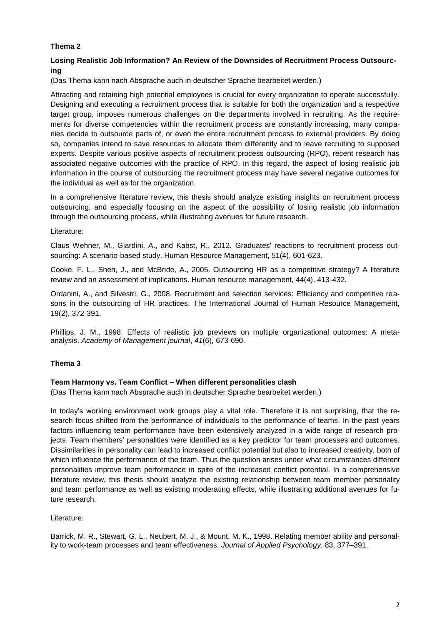## **Thema 2**

## **Losing Realistic Job Information? An Review of the Downsides of Recruitment Process Outsourcing**

(Das Thema kann nach Absprache auch in deutscher Sprache bearbeitet werden.)

Attracting and retaining high potential employees is crucial for every organization to operate successfully. Designing and executing a recruitment process that is suitable for both the organization and a respective target group, imposes numerous challenges on the departments involved in recruiting. As the requirements for diverse competencies within the recruitment process are constantly increasing, many companies decide to outsource parts of, or even the entire recruitment process to external providers. By doing so, companies intend to save resources to allocate them differently and to leave recruiting to supposed experts. Despite various positive aspects of recruitment process outsourcing (RPO), recent research has associated negative outcomes with the practice of RPO. In this regard, the aspect of losing realistic job information in the course of outsourcing the recruitment process may have several negative outcomes for the individual as well as for the organization.

In a comprehensive literature review, this thesis should analyze existing insights on recruitment process outsourcing, and especially focusing on the aspect of the possibility of losing realistic job information through the outsourcing process, while illustrating avenues for future research.

#### Literature:

Claus Wehner, M., Giardini, A., and Kabst, R., 2012. Graduates' reactions to recruitment process outsourcing: A scenario-based study. Human Resource Management, 51(4), 601-623.

Cooke, F. L., Shen, J., and McBride, A., 2005. Outsourcing HR as a competitive strategy? A literature review and an assessment of implications. Human resource management, 44(4), 413-432.

Ordanini, A., and Silvestri, G., 2008. Recruitment and selection services: Efficiency and competitive reasons in the outsourcing of HR practices. The International Journal of Human Resource Management, 19(2), 372-391.

Phillips, J. M., 1998. Effects of realistic job previews on multiple organizational outcomes: A metaanalysis. *Academy of Management journal*, *41*(6), 673-690.

## **Thema 3**

#### **Team Harmony vs. Team Conflict – When different personalities clash**

(Das Thema kann nach Absprache auch in deutscher Sprache bearbeitet werden.)

In today's working environment work groups play a vital role. Therefore it is not surprising, that the research focus shifted from the performance of individuals to the performance of teams. In the past years factors influencing team performance have been extensively analyzed in a wide range of research projects. Team members' personalities were identified as a key predictor for team processes and outcomes. Dissimilarities in personality can lead to increased conflict potential but also to increased creativity, both of which influence the performance of the team. Thus the question arises under what circumstances different personalities improve team performance in spite of the increased conflict potential. In a comprehensive literature review, this thesis should analyze the existing relationship between team member personality and team performance as well as existing moderating effects, while illustrating additional avenues for future research.

Literature:

Barrick, M. R., Stewart, G. L., Neubert, M. J., & Mount, M. K., 1998. Relating member ability and personality to work-team processes and team effectiveness. *Journal of Applied Psychology*, 83, 377–391.